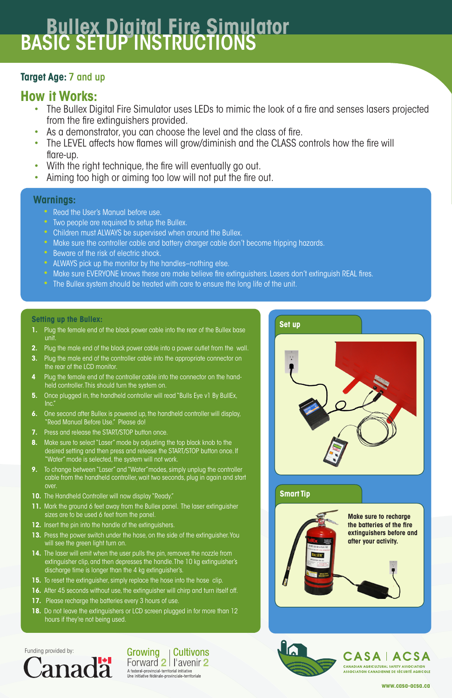Funding provided by:



Growing **Cultivons** Forward 2 | l'avenir 2 A federal-provincial-territorial initiative

Une initiative fédérale-provinciale-territoriale



## **CASAIACSA**

**CANADIAN AGRICULTURAL SAFETY ASSOCIATION ASSOCIATION CANADIENNE DE SÉCURITÉ AGRICOLE** 

**www.casa-acsa.ca**

## **Target Age:** 7 and up

## **How it Works:**

# **Bullex Digital Fire Simulator** BASIC SETUP INSTRUCTIONS

- The Bullex Digital Fire Simulator uses LEDs to mimic the look of a fire and senses lasers projected from the fire extinguishers provided.
- As a demonstrator, you can choose the level and the class of fire.
- The LEVEL affects how flames will grow/diminish and the CLASS controls how the fire will flare-up.
- With the right technique, the fire will eventually go out.
- Aiming too high or aiming too low will not put the fire out.

### **Warnings:**

- Read the User's Manual before use.
- Two people are required to setup the Bullex.
- Children must ALWAYS be supervised when around the Bullex.
- Make sure the controller cable and battery charger cable don't become tripping hazards.
- Beware of the risk of electric shock.
- ALWAYS pick up the monitor by the handles-nothing else.
- Make sure EVERYONE knows these are make believe fire extinguishers. Lasers don't extinguish REAL fires.
- The Bullex system should be treated with care to ensure the long life of the unit.

#### **Setting up the Bullex:**

- **1.** Plug the female end of the black power cable into the rear of the Bullex base unit.
- **2.** Plug the male end of the black power cable into a power outlet from the wall.
- **3.** Plug the male end of the controller cable into the appropriate connector on the rear of the LCD monitor.
- **4** Plug the female end of the controller cable into the connector on the handheld controller. This should turn the system on.
- **5.** Once plugged in, the handheld controller will read "Bulls Eye v1 By BullEx, Inc."
- **6.** One second after Bullex is powered up, the handheld controller will display, "Read Manual Before Use." Please do!
- **7.** Press and release the START/STOP button once.
- **8.** Make sure to select "Laser" mode by adjusting the top black knob to the desired setting and then press and release the START/STOP button once. If "Water'' mode is selected, the system will not work.
- **9.** To change between "Laser" and "Water" modes, simply unplug the controller cable from the handheld controller, wait two seconds, plug in again and start over.
- **10.** The Handheld Controller will now display "Ready."
- **11.** Mark the ground 6 feet away from the Bullex panel. The laser extinguisher



- sizes are to be used 6 feet from the panel.
- **12.** Insert the pin into the handle of the extinguishers.
- **13.** Press the power switch under the hose, on the side of the extinguisher. You will see the green light turn on.
- **14.** The laser will emit when the user pulls the pin, removes the nozzle from extinguisher clip, and then depresses the handle. The 10 kg extinguisher's discharge time is longer than the 4 kg extinguisher's.
- **15.** To reset the extinguisher, simply replace the hose into the hose clip.
- **16.** After 45 seconds without use, the extinguisher will chirp and turn itself off.
- **17.** Please recharge the batteries every 3 hours of use.
- **18.** Do not leave the extinguishers or LCD screen plugged in for more than 12 hours if they're not being used.